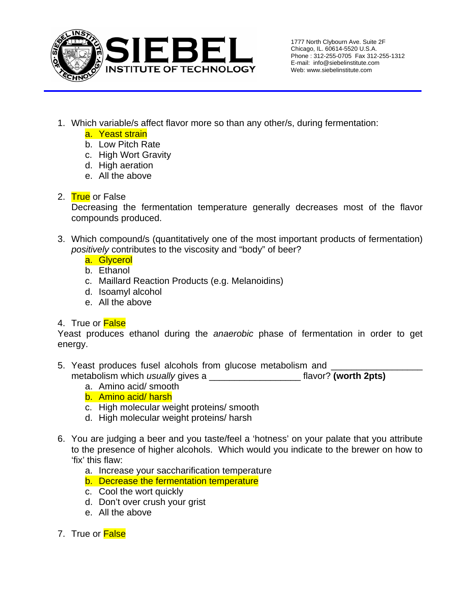

- 1. Which variable/s affect flavor more so than any other/s, during fermentation:
	- a. Yeast strain
	- b. Low Pitch Rate
	- c. High Wort Gravity
	- d. High aeration
	- e. All the above

## 2. True or False

Decreasing the fermentation temperature generally decreases most of the flavor compounds produced.

- 3. Which compound/s (quantitatively one of the most important products of fermentation) *positively* contributes to the viscosity and "body" of beer?
	- a. Glycerol
	- b. Ethanol
	- c. Maillard Reaction Products (e.g. Melanoidins)
	- d. Isoamyl alcohol
	- e. All the above

## 4. True or **False**

Yeast produces ethanol during the *anaerobic* phase of fermentation in order to get energy.

- 5. Yeast produces fusel alcohols from glucose metabolism and metabolism which *usually* gives a \_\_\_\_\_\_\_\_\_\_\_\_\_\_\_\_\_\_ flavor? **(worth 2pts)**
	- a. Amino acid/ smooth
	- b. Amino acid/ harsh
	- c. High molecular weight proteins/ smooth
	- d. High molecular weight proteins/ harsh
- 6. You are judging a beer and you taste/feel a 'hotness' on your palate that you attribute to the presence of higher alcohols. Which would you indicate to the brewer on how to 'fix' this flaw:
	- a. Increase your saccharification temperature
	- b. Decrease the fermentation temperature
	- c. Cool the wort quickly
	- d. Don't over crush your grist
	- e. All the above
- 7. True or False